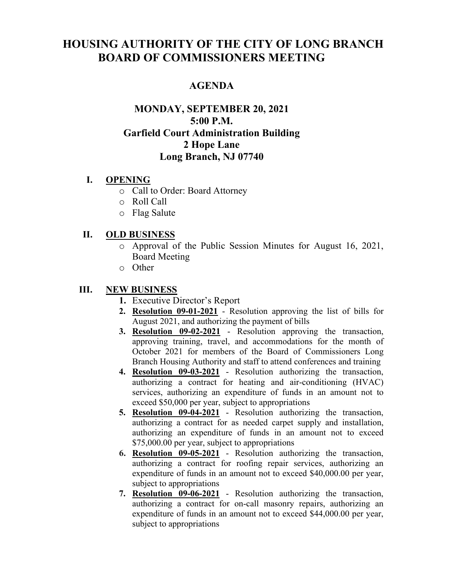# **HOUSING AUTHORITY OF THE CITY OF LONG BRANCH BOARD OF COMMISSIONERS MEETING**

# **AGENDA**

# **MONDAY, SEPTEMBER 20, 2021 5:00 P.M. Garfield Court Administration Building 2 Hope Lane Long Branch, NJ 07740**

#### **I. OPENING**

- o Call to Order: Board Attorney
- o Roll Call
- o Flag Salute

#### **II. OLD BUSINESS**

- o Approval of the Public Session Minutes for August 16, 2021, Board Meeting
- o Other

### **III. NEW BUSINESS**

- **1.** Executive Director's Report
- **2. Resolution 09-01-2021** Resolution approving the list of bills for August 2021, and authorizing the payment of bills
- **3. Resolution 09-02-2021** Resolution approving the transaction, approving training, travel, and accommodations for the month of October 2021 for members of the Board of Commissioners Long Branch Housing Authority and staff to attend conferences and training
- **4. Resolution 09-03-2021** Resolution authorizing the transaction, authorizing a contract for heating and air-conditioning (HVAC) services, authorizing an expenditure of funds in an amount not to exceed \$50,000 per year, subject to appropriations
- **5. Resolution 09-04-2021** Resolution authorizing the transaction, authorizing a contract for as needed carpet supply and installation, authorizing an expenditure of funds in an amount not to exceed \$75,000.00 per year, subject to appropriations
- **6. Resolution 09-05-2021** Resolution authorizing the transaction, authorizing a contract for roofing repair services, authorizing an expenditure of funds in an amount not to exceed \$40,000.00 per year, subject to appropriations
- **7. Resolution 09-06-2021** Resolution authorizing the transaction, authorizing a contract for on-call masonry repairs, authorizing an expenditure of funds in an amount not to exceed \$44,000.00 per year, subject to appropriations